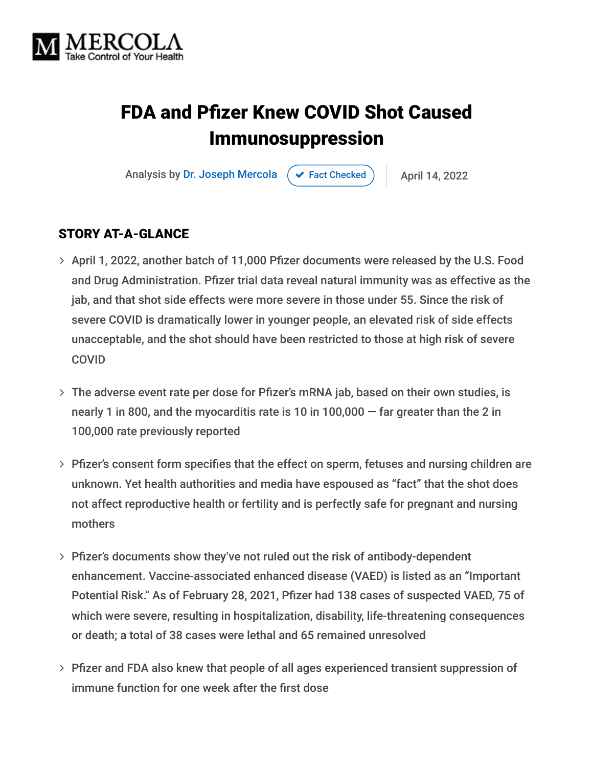

# FDA and Pfizer Knew COVID Shot Caused Immunosuppression

Analysis by [Dr. Joseph Mercola](https://www.mercola.com/forms/background.htm)  $\left( \right. \left. \left. \right. \right. \left. \left. \right. \left. \right. \left. \right. \left. \left. \right. \right. \left. \left. \right. \right. \left. \left. \right. \left. \right. \left. \left. \right. \right. \left. \left. \left. \right. \right. \left. \left. \right. \right. \left. \left. \right. \right. \left. \left. \right. \right. \left. \left. \left. \right. \right. \left. \left. \right. \right. \right. \left. \left. \right. \right. \left. \left.$ 

#### STORY AT-A-GLANCE

- > April 1, 2022, another batch of 11,000 Pfizer documents were released by the U.S. Food and Drug Administration. Pfizer trial data reveal natural immunity was as effective as the jab, and that shot side effects were more severe in those under 55. Since the risk of severe COVID is dramatically lower in younger people, an elevated risk of side effects unacceptable, and the shot should have been restricted to those at high risk of severe COVID
- The adverse event rate per dose for Pfizer's mRNA jab, based on their own studies, is nearly 1 in 800, and the myocarditis rate is 10 in  $100,000 -$  far greater than the 2 in 100,000 rate previously reported
- Pfizer's consent form specifies that the effect on sperm, fetuses and nursing children are unknown. Yet health authorities and media have espoused as "fact" that the shot does not affect reproductive health or fertility and is perfectly safe for pregnant and nursing mothers
- Pfizer's documents show they've not ruled out the risk of antibody-dependent enhancement. Vaccine-associated enhanced disease (VAED) is listed as an "Important Potential Risk." As of February 28, 2021, Pfizer had 138 cases of suspected VAED, 75 of which were severe, resulting in hospitalization, disability, life-threatening consequences or death; a total of 38 cases were lethal and 65 remained unresolved
- Pfizer and FDA also knew that people of all ages experienced transient suppression of immune function for one week after the first dose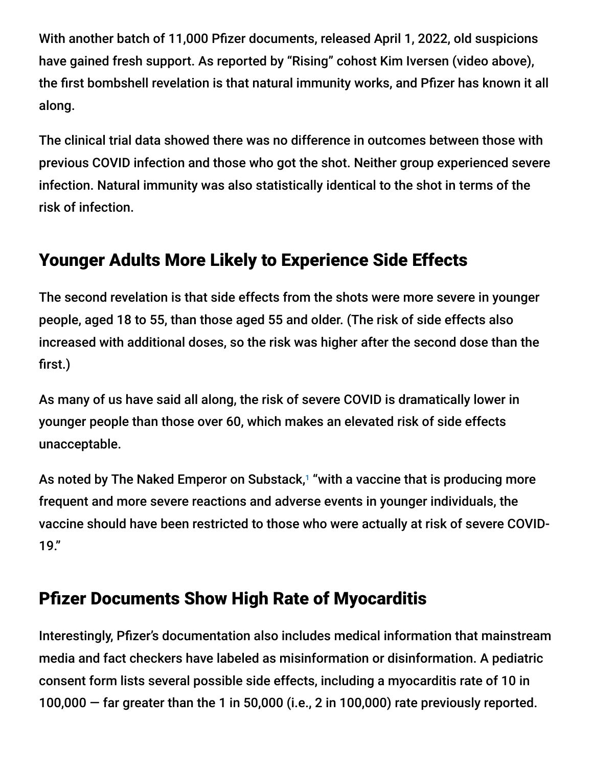With another batch of 11,000 Pfizer documents, released April 1, 2022, old suspicions have gained fresh support. As reported by "Rising" cohost Kim Iversen (video above), the first bombshell revelation is that natural immunity works, and Pfizer has known it all along.

The clinical trial data showed there was no difference in outcomes between those with previous COVID infection and those who got the shot. Neither group experienced severe infection. Natural immunity was also statistically identical to the shot in terms of the risk of infection.

# Younger Adults More Likely to Experience Side Effects

The second revelation is that side effects from the shots were more severe in younger people, aged 18 to 55, than those aged 55 and older. (The risk of side effects also increased with additional doses, so the risk was higher after the second dose than the first.)

As many of us have said all along, the risk of severe COVID is dramatically lower in younger people than those over 60, which makes an elevated risk of side effects unacceptable.

As noted by The Naked Emperor on Substack,<sup>1</sup> "with a vaccine that is producing more frequent and more severe reactions and adverse events in younger individuals, the vaccine should have been restricted to those who were actually at risk of severe COVID-19."

# Pfizer Documents Show High Rate of Myocarditis

Interestingly, Pfizer's documentation also includes medical information that mainstream media and fact checkers have labeled as misinformation or disinformation. A pediatric consent form lists several possible side effects, including a myocarditis rate of 10 in 100,000 — far greater than the 1 in 50,000 (i.e., 2 in 100,000) rate previously reported.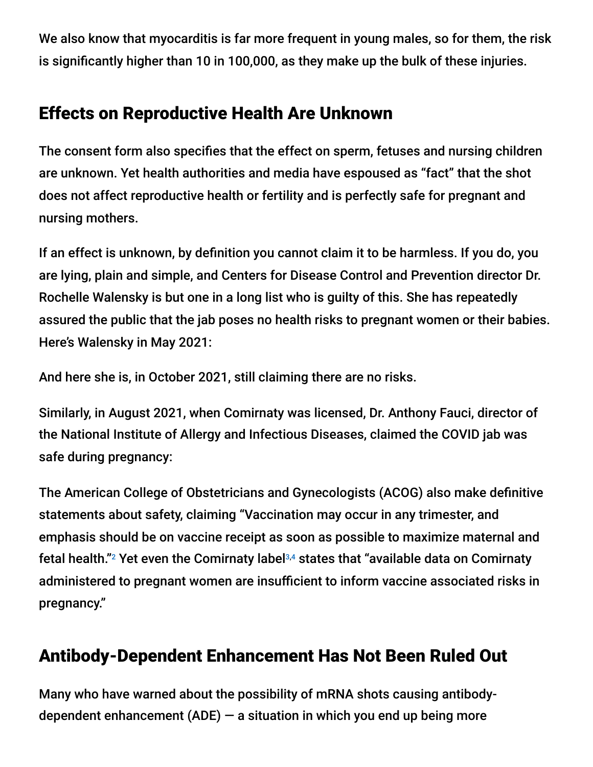We also know that myocarditis is far more frequent in young males, so for them, the risk is significantly higher than 10 in 100,000, as they make up the bulk of these injuries.

# Effects on Reproductive Health Are Unknown

The consent form also specifies that the effect on sperm, fetuses and nursing children are unknown. Yet health authorities and media have espoused as "fact" that the shot does not affect reproductive health or fertility and is perfectly safe for pregnant and nursing mothers.

If an effect is unknown, by definition you cannot claim it to be harmless. If you do, you are lying, plain and simple, and Centers for Disease Control and Prevention director Dr. Rochelle Walensky is but one in a long list who is guilty of this. She has repeatedly assured the public that the jab poses no health risks to pregnant women or their babies. Here's Walensky in May 2021:

And here she is, in October 2021, still claiming there are no risks.

Similarly, in August 2021, when Comirnaty was licensed, Dr. Anthony Fauci, director of the National Institute of Allergy and Infectious Diseases, claimed the COVID jab was safe during pregnancy:

The American College of Obstetricians and Gynecologists (ACOG) also make definitive statements about safety, claiming "Vaccination may occur in any trimester, and emphasis should be on vaccine receipt as soon as possible to maximize maternal and fetal health." $2$  Yet even the Comirnaty label $3,4$  states that "available data on Comirnaty administered to pregnant women are insufficient to inform vaccine associated risks in pregnancy."

# Antibody-Dependent Enhancement Has Not Been Ruled Out

Many who have warned about the possibility of mRNA shots causing antibodydependent enhancement  $(ADE)$  – a situation in which you end up being more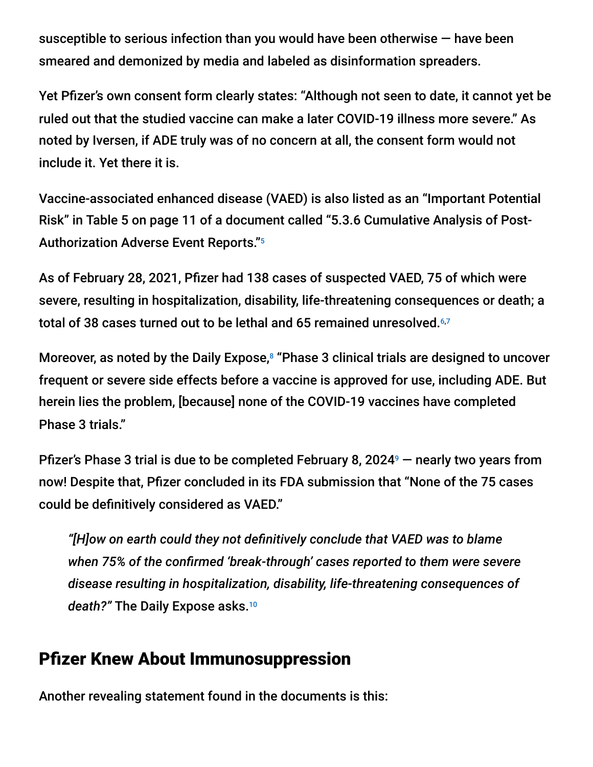susceptible to serious infection than you would have been otherwise — have been smeared and demonized by media and labeled as disinformation spreaders.

Yet Pfizer's own consent form clearly states: "Although not seen to date, it cannot yet be ruled out that the studied vaccine can make a later COVID-19 illness more severe." As noted by Iversen, if ADE truly was of no concern at all, the consent form would not include it. Yet there it is.

Vaccine-associated enhanced disease (VAED) is also listed as an "Important Potential Risk" in Table 5 on page 11 of a document called "5.3.6 Cumulative Analysis of Post-Authorization Adverse Event Reports." 5

As of February 28, 2021, Pfizer had 138 cases of suspected VAED, 75 of which were severe, resulting in hospitalization, disability, life-threatening consequences or death; a total of 38 cases turned out to be lethal and 65 remained unresolved.<sup>6,7</sup>

Moreover, as noted by the Daily Expose,<sup>8</sup> "Phase 3 clinical trials are designed to uncover frequent or severe side effects before a vaccine is approved for use, including ADE. But herein lies the problem, [because] none of the COVID-19 vaccines have completed Phase 3 trials."

Pfizer's Phase 3 trial is due to be completed February 8, 2024<sup>9</sup>  $-$  nearly two years from now! Despite that, Pfizer concluded in its FDA submission that "None of the 75 cases could be definitively considered as VAED."

*"[H]ow on earth could they not definitively conclude that VAED was to blame when 75% of the confirmed 'break-through' cases reported to them were severe disease resulting in hospitalization, disability, life-threatening consequences of death?"* The Daily Expose asks. 10

### Pfizer Knew About Immunosuppression

Another revealing statement found in the documents is this: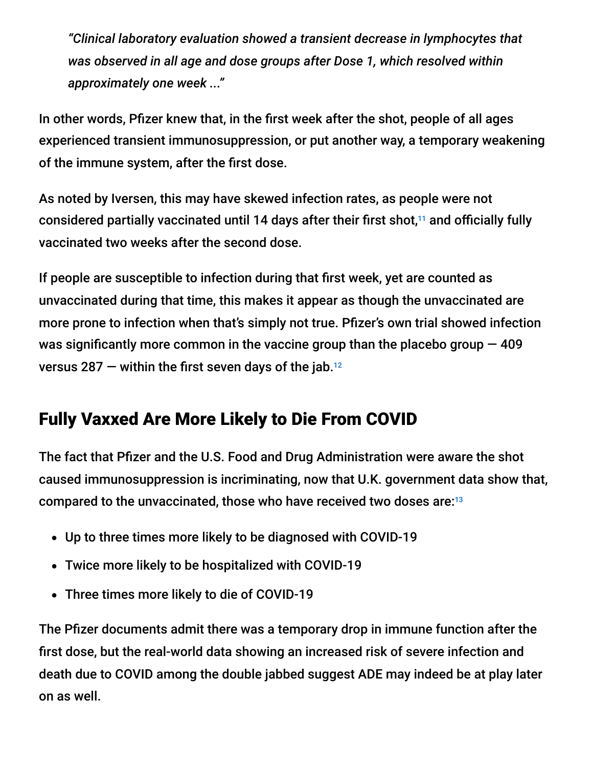*"Clinical laboratory evaluation showed a transient decrease in lymphocytes that was observed in all age and dose groups after Dose 1, which resolved within approximately one week ..."*

In other words, Pfizer knew that, in the first week after the shot, people of all ages experienced transient immunosuppression, or put another way, a temporary weakening of the immune system, after the first dose.

As noted by Iversen, this may have skewed infection rates, as people were not considered partially vaccinated until 14 days after their first shot,<sup>11</sup> and officially fully vaccinated two weeks after the second dose.

If people are susceptible to infection during that first week, yet are counted as unvaccinated during that time, this makes it appear as though the unvaccinated are more prone to infection when that's simply not true. Pfizer's own trial showed infection was significantly more common in the vaccine group than the placebo group  $-409$ versus 287  $-$  within the first seven days of the jab. $^{12}$ 

# Fully Vaxxed Are More Likely to Die From COVID

The fact that Pfizer and the U.S. Food and Drug Administration were aware the shot caused immunosuppression is incriminating, now that U.K. government data show that, compared to the unvaccinated, those who have received two doses are: 13

- Up to three times more likely to be diagnosed with COVID-19
- Twice more likely to be hospitalized with COVID-19
- Three times more likely to die of COVID-19

The Pfizer documents admit there was a temporary drop in immune function after the first dose, but the real-world data showing an increased risk of severe infection and death due to COVID among the double jabbed suggest ADE may indeed be at play later on as well.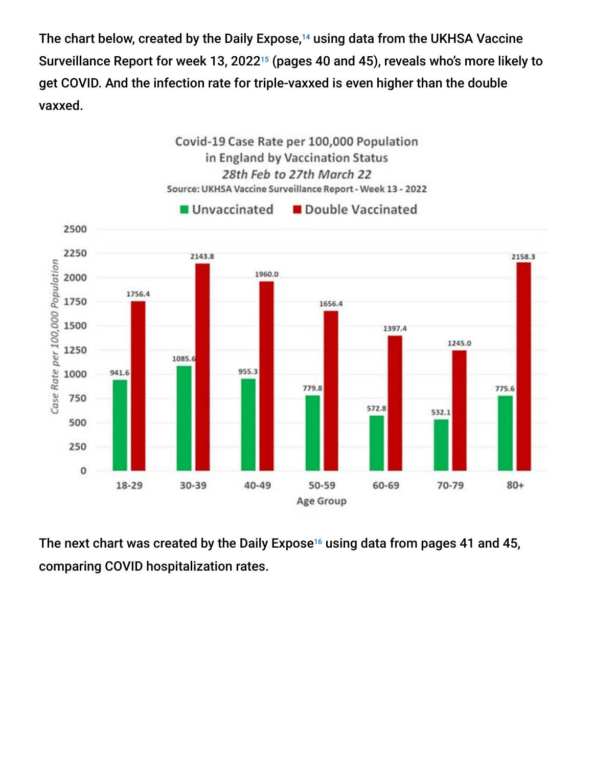The chart below, created by the Daily Expose, $14$  using data from the UKHSA Vaccine Surveillance Report for week 13, 2022 $^{\scriptscriptstyle 15}$  (pages 40 and 45), reveals who's more likely to get COVID. And the infection rate for triple-vaxxed is even higher than the double vaxxed.



The next chart was created by the Daily Expose<sup>16</sup> using data from pages 41 and 45, comparing COVID hospitalization rates.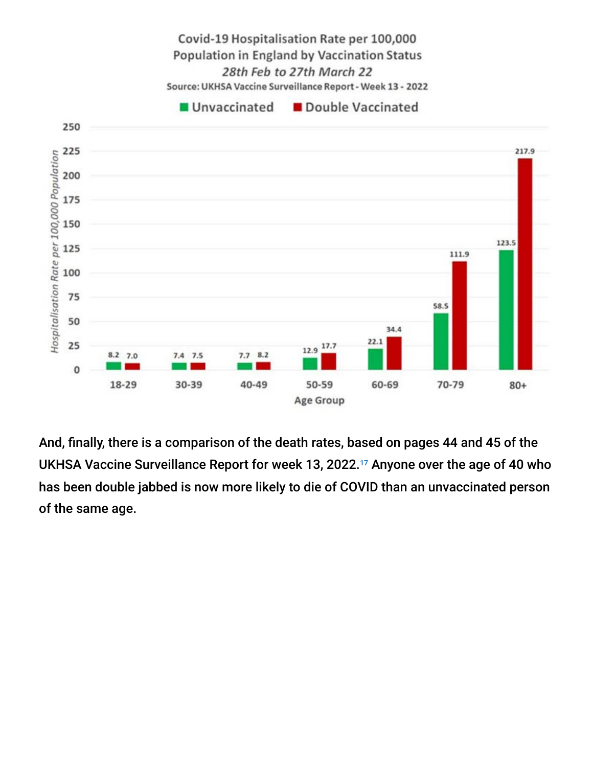

Covid-19 Hospitalisation Rate per 100,000 Population in England by Vaccination Status

And, finally, there is a comparison of the death rates, based on pages 44 and 45 of the UKHSA Vaccine Surveillance Report for week 13, 2022.<sup>17</sup> Anyone over the age of 40 who has been double jabbed is now more likely to die of COVID than an unvaccinated person of the same age.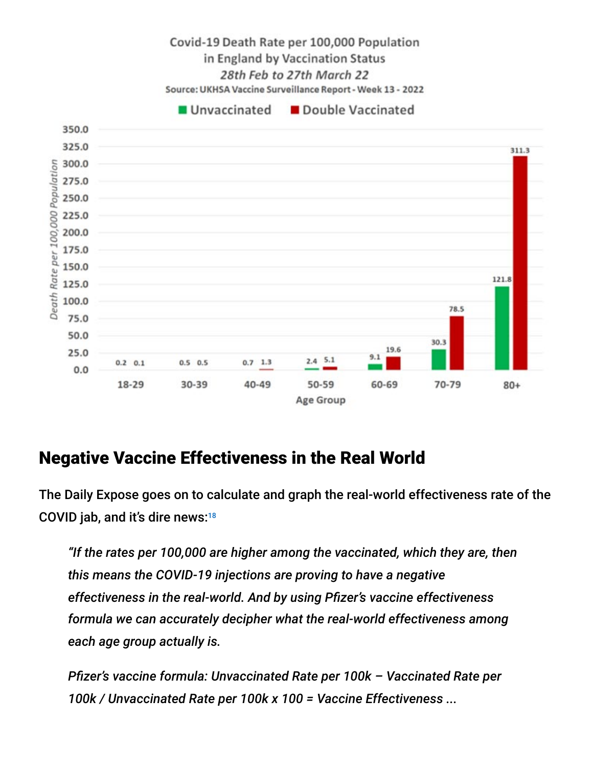

#### Negative Vaccine Effectiveness in the Real World

The Daily Expose goes on to calculate and graph the real-world effectiveness rate of the COVID jab, and it's dire news: 18

*"If the rates per 100,000 are higher among the vaccinated, which they are, then this means the COVID-19 injections are proving to have a negative effectiveness in the real-world. And by using Pfizer's vaccine effectiveness formula we can accurately decipher what the real-world effectiveness among each age group actually is.*

*Pfizer's vaccine formula: Unvaccinated Rate per 100k – Vaccinated Rate per 100k / Unvaccinated Rate per 100k x 100 = Vaccine Effectiveness ...*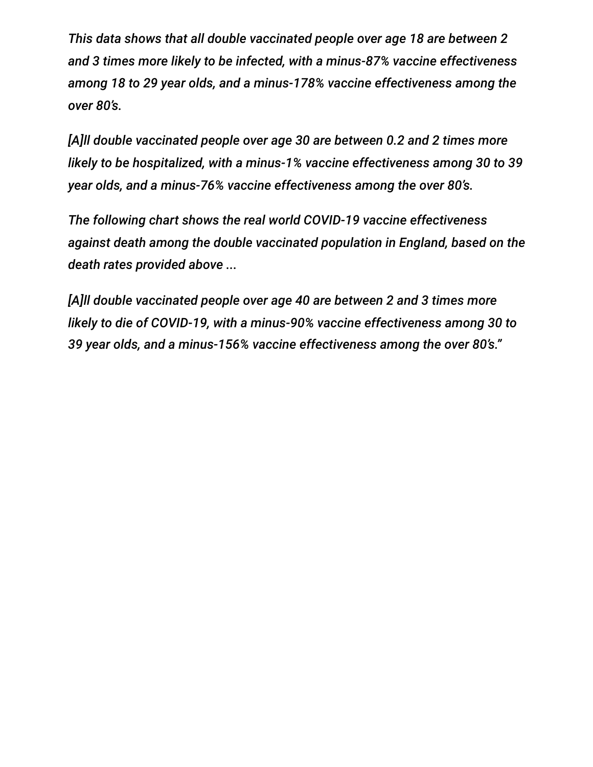*This data shows that all double vaccinated people over age 18 are between 2 and 3 times more likely to be infected, with a minus-87% vaccine effectiveness among 18 to 29 year olds, and a minus-178% vaccine effectiveness among the over 80's.*

*[A]ll double vaccinated people over age 30 are between 0.2 and 2 times more likely to be hospitalized, with a minus-1% vaccine effectiveness among 30 to 39 year olds, and a minus-76% vaccine effectiveness among the over 80's.*

*The following chart shows the real world COVID-19 vaccine effectiveness against death among the double vaccinated population in England, based on the death rates provided above ...*

*[A]ll double vaccinated people over age 40 are between 2 and 3 times more likely to die of COVID-19, with a minus-90% vaccine effectiveness among 30 to 39 year olds, and a minus-156% vaccine effectiveness among the over 80's."*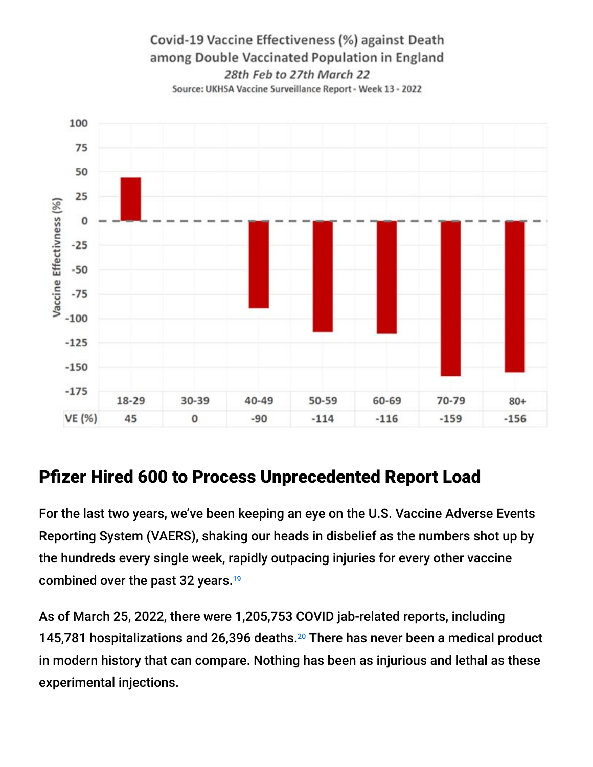



### Pfizer Hired 600 to Process Unprecedented Report Load

For the last two years, we've been keeping an eye on the U.S. Vaccine Adverse Events Reporting System (VAERS), shaking our heads in disbelief as the numbers shot up by the hundreds every single week, rapidly outpacing injuries for every other vaccine combined over the past 32 years. 19

As of March 25, 2022, there were 1,205,753 COVID jab-related reports, including 145,781 hospitalizations and 26,396 deaths. $20$  There has never been a medical product in modern history that can compare. Nothing has been as injurious and lethal as these experimental injections.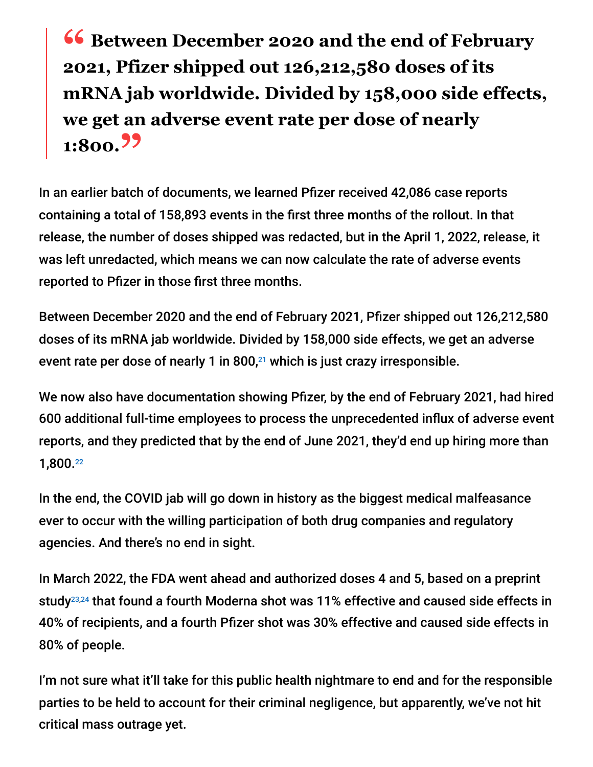**16 Between December 2020 and the end of February**<br>2021 Pfizer shinned out 126 212 580 doses of its **2021, Pfizer shipped out 126,212,580 doses of its mRNA jab worldwide. Divided by 158,000 side effects, we get an adverse event rate per dose of nearly 1:800."**

In an earlier batch of documents, we learned Pfizer received 42,086 case reports containing a total of 158,893 events in the first three months of the rollout. In that release, the number of doses shipped was redacted, but in the April 1, 2022, release, it was left unredacted, which means we can now calculate the rate of adverse events reported to Pfizer in those first three months.

Between December 2020 and the end of February 2021, Pfizer shipped out 126,212,580 doses of its mRNA jab worldwide. Divided by 158,000 side effects, we get an adverse event rate per dose of nearly 1 in 800, $21$  which is just crazy irresponsible.

We now also have documentation showing Pfizer, by the end of February 2021, had hired 600 additional full-time employees to process the unprecedented influx of adverse event reports, and they predicted that by the end of June 2021, they'd end up hiring more than 1,800. 22

In the end, the COVID jab will go down in history as the biggest medical malfeasance ever to occur with the willing participation of both drug companies and regulatory agencies. And there's no end in sight.

In March 2022, the FDA went ahead and authorized doses 4 and 5, based on a preprint study<sup>23,24</sup> that found a fourth Moderna shot was 11% effective and caused side effects in 40% of recipients, and a fourth Pfizer shot was 30% effective and caused side effects in 80% of people.

I'm not sure what it'll take for this public health nightmare to end and for the responsible parties to be held to account for their criminal negligence, but apparently, we've not hit critical mass outrage yet.